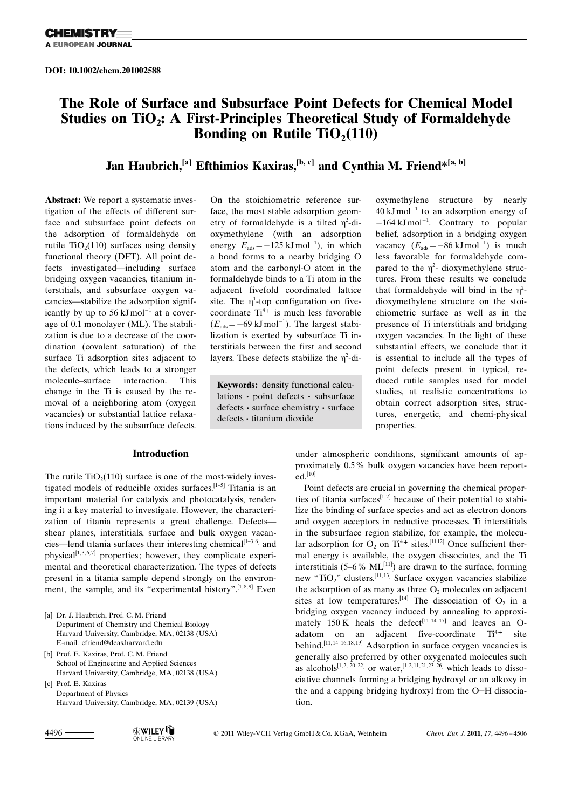### The Role of Surface and Subsurface Point Defects for Chemical Model Studies on TiO<sub>2</sub>: A First-Principles Theoretical Study of Formaldehyde Bonding on Rutile  $TiO<sub>2</sub>(110)$

### Jan Haubrich,<sup>[a]</sup> Efthimios Kaxiras,<sup>[b, c]</sup> and Cynthia M. Friend\*<sup>[a, b]</sup>

Abstract: We report a systematic investigation of the effects of different surface and subsurface point defects on the adsorption of formaldehyde on rutile  $TiO<sub>2</sub>(110)$  surfaces using density functional theory (DFT). All point defects investigated—including surface bridging oxygen vacancies, titanium interstitials, and subsurface oxygen vacancies—stabilize the adsorption significantly by up to 56  $kJ$ mol<sup>-1</sup> at a coverage of 0.1 monolayer (ML). The stabilization is due to a decrease of the coordination (covalent saturation) of the surface Ti adsorption sites adjacent to the defects, which leads to a stronger molecule–surface interaction. This change in the Ti is caused by the removal of a neighboring atom (oxygen vacancies) or substantial lattice relaxations induced by the subsurface defects.

### Introduction

The rutile  $TiO<sub>2</sub>(110)$  surface is one of the most-widely investigated models of reducible oxides surfaces.<sup>[1-5]</sup> Titania is an important material for catalysis and photocatalysis, rendering it a key material to investigate. However, the characterization of titania represents a great challenge. Defects shear planes, interstitials, surface and bulk oxygen vacancies—lend titania surfaces their interesting chemical<sup>[1-3,6]</sup> and physical<sup>[1,3,6,7]</sup> properties; however, they complicate experimental and theoretical characterization. The types of defects present in a titania sample depend strongly on the environment, the sample, and its "experimental history".<sup>[1,8,9]</sup> Even

- [b] Prof. E. Kaxiras, Prof. C. M. Friend School of Engineering and Applied Sciences Harvard University, Cambridge, MA, 02138 (USA)
- [c] Prof. E. Kaxiras Department of Physics Harvard University, Cambridge, MA, 02139 (USA)

On the stoichiometric reference surface, the most stable adsorption geometry of formaldehyde is a tilted  $\eta^2$ -dioxymethylene (with an adsorption energy  $E_{ads} = -125 \text{ kJ} \text{ mol}^{-1}$ , in which a bond forms to a nearby bridging O atom and the carbonyl-O atom in the formaldehyde binds to a Ti atom in the adjacent fivefold coordinated lattice site. The  $\eta^1$ -top configuration on fivecoordinate  $Ti^{4+}$  is much less favorable  $(E_{ads} = -69 \text{ kJ} \text{ mol}^{-1})$ . The largest stabilization is exerted by subsurface Ti interstitials between the first and second layers. These defects stabilize the  $\eta^2$ -di-

Keywords: density functional calculations · point defects · subsurface defects · surface chemistry · surface defects · titanium dioxide

 $40 \text{ kJ} \text{mol}^{-1}$  to an adsorption energy of  $-164 \text{ kJ} \text{mol}^{-1}$ . Contrary to popular belief, adsorption in a bridging oxygen vacancy  $(E_{ads} = -86 \text{ kJ} \text{ mol}^{-1})$  is much less favorable for formaldehyde compared to the  $\eta^2$ - dioxymethylene structures. From these results we conclude that formaldehyde will bind in the  $\eta^2$ dioxymethylene structure on the stoichiometric surface as well as in the presence of Ti interstitials and bridging oxygen vacancies. In the light of these substantial effects, we conclude that it is essential to include all the types of point defects present in typical, reduced rutile samples used for model studies, at realistic concentrations to obtain correct adsorption sites, structures, energetic, and chemi-physical properties.

oxymethylene structure by nearly

under atmospheric conditions, significant amounts of approximately 0.5% bulk oxygen vacancies have been reported.[10]

Point defects are crucial in governing the chemical properties of titania surfaces<sup>[1,2]</sup> because of their potential to stabilize the binding of surface species and act as electron donors and oxygen acceptors in reductive processes. Ti interstitials in the subsurface region stabilize, for example, the molecular adsorption for  $O_2$  on  $Ti^{4+}$  sites.<sup>[1112]</sup> Once sufficient thermal energy is available, the oxygen dissociates, and the Ti interstitials  $(5-6\% \text{ ML}^{[11]})$  are drawn to the surface, forming new "TiO<sub>2</sub>" clusters.<sup>[11, 13]</sup> Surface oxygen vacancies stabilize the adsorption of as many as three  $O<sub>2</sub>$  molecules on adjacent sites at low temperatures.<sup>[14]</sup> The dissociation of  $O_2$  in a bridging oxygen vacancy induced by annealing to approximately  $150 \text{ K}$  heals the defect<sup>[11,14–17]</sup> and leaves an Oadatom on an adjacent five-coordinate  $Ti^{4+}$  site behind.<sup>[11,14-16,18,19]</sup> Adsorption in surface oxygen vacancies is generally also preferred by other oxygenated molecules such as alcohols<sup>[1,2, 20–22]</sup> or water,<sup>[1,2,11,21,23–26]</sup> which leads to dissociative channels forming a bridging hydroxyl or an alkoxy in the and a capping bridging hydroxyl from the O-H dissociation.

2011 Wiley-VCH Verlag GmbH & Co. KGaA, Weinheim Chem. Eur. J. 2011, 17, 4496 – 4506

<sup>[</sup>a] Dr. J. Haubrich, Prof. C. M. Friend Department of Chemistry and Chemical Biology Harvard University, Cambridge, MA, 02138 (USA) E-mail: cfriend@deas.harvard.edu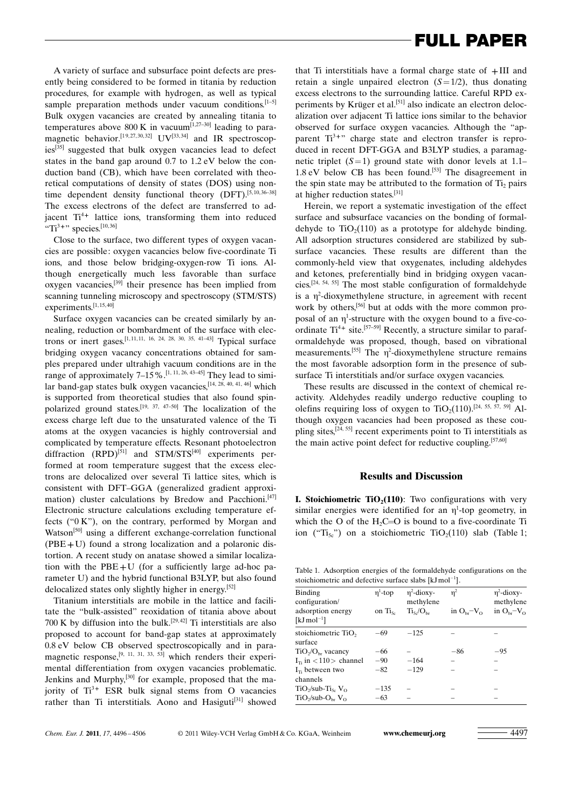A variety of surface and subsurface point defects are presently being considered to be formed in titania by reduction procedures, for example with hydrogen, as well as typical sample preparation methods under vacuum conditions.<sup>[1-5]</sup> Bulk oxygen vacancies are created by annealing titania to temperatures above 800 K in vacuum<sup>[1,27-30]</sup> leading to paramagnetic behavior.<sup>[19,27,30,32]</sup> UV<sup>[33,34]</sup> and IR spectroscopies[35] suggested that bulk oxygen vacancies lead to defect states in the band gap around 0.7 to 1.2 eV below the conduction band (CB), which have been correlated with theoretical computations of density of states (DOS) using nontime dependent density functional theory (DFT).<sup>[5,10,36-38]</sup> The excess electrons of the defect are transferred to adjacent  $Ti^{4+}$  lattice ions, transforming them into reduced  $\sqrt[3]{\text{TT}^{3+\gamma}}$  species.<sup>[10,36]</sup>

Close to the surface, two different types of oxygen vacancies are possible: oxygen vacancies below five-coordinate Ti ions, and those below bridging-oxygen-row Ti ions. Although energetically much less favorable than surface oxygen vacancies,[39] their presence has been implied from scanning tunneling microscopy and spectroscopy (STM/STS) experiments.<sup>[1,15,40]</sup>

Surface oxygen vacancies can be created similarly by annealing, reduction or bombardment of the surface with electrons or inert gases.<sup>[1,11,11, 16, 24, 28, 30, 35, 41–43]</sup> Typical surface bridging oxygen vacancy concentrations obtained for samples prepared under ultrahigh vacuum conditions are in the range of approximately  $7-15\%$ . [1, 11, 26, 43-45] They lead to similar band-gap states bulk oxygen vacancies,[14, 28, 40, 41, 46] which is supported from theoretical studies that also found spinpolarized ground states.<sup>[19, 37, 47–50]</sup> The localization of the excess charge left due to the unsaturated valence of the Ti atoms at the oxygen vacancies is highly controversial and complicated by temperature effects. Resonant photoelectron diffraction  $(RPD)^{[51]}$  and  $STM/STS^{[40]}$  experiments performed at room temperature suggest that the excess electrons are delocalized over several Ti lattice sites, which is consistent with DFT–GGA (generalized gradient approximation) cluster calculations by Bredow and Pacchioni.<sup>[47]</sup> Electronic structure calculations excluding temperature effects ("0 K"), on the contrary, performed by Morgan and Watson<sup>[50]</sup> using a different exchange-correlation functional  $(PBE+U)$  found a strong localization and a polaronic distortion. A recent study on anatase showed a similar localization with the PBE+U (for a sufficiently large ad-hoc parameter U) and the hybrid functional B3LYP, but also found delocalized states only slightly higher in energy.[52]

Titanium interstitials are mobile in the lattice and facilitate the "bulk-assisted" reoxidation of titania above about 700 K by diffusion into the bulk.<sup>[29,42]</sup> Ti interstitials are also proposed to account for band-gap states at approximately 0.8 eV below CB observed spectroscopically and in paramagnetic response,  $[9, 11, 31, 33, 53]$  which renders their experimental differentiation from oxygen vacancies problematic. Jenkins and Murphy,[30] for example, proposed that the majority of  $Ti^{3+}$  ESR bulk signal stems from O vacancies rather than Ti interstitials. Aono and Hasiguti<sup>[31]</sup> showed that Ti interstitials have a formal charge state of  $+III$  and retain a single unpaired electron  $(S=1/2)$ , thus donating excess electrons to the surrounding lattice. Careful RPD experiments by Krüger et al.<sup>[51]</sup> also indicate an electron delocalization over adjacent Ti lattice ions similar to the behavior observed for surface oxygen vacancies. Although the "apparent  $Ti^{3+}$ " charge state and electron transfer is reproduced in recent DFT-GGA and B3LYP studies, a paramagnetic triplet  $(S=1)$  ground state with donor levels at 1.1– 1.8 eV below CB has been found.<sup>[53]</sup> The disagreement in the spin state may be attributed to the formation of  $Ti<sub>2</sub>$  pairs at higher reduction states.[31]

Herein, we report a systematic investigation of the effect surface and subsurface vacancies on the bonding of formaldehyde to  $TiO<sub>2</sub>(110)$  as a prototype for aldehyde binding. All adsorption structures considered are stabilized by subsurface vacancies. These results are different than the commonly-held view that oxygenates, including aldehydes and ketones, preferentially bind in bridging oxygen vacancies.[24, 54, 55] The most stable configuration of formaldehyde is a  $\eta^2$ -dioxymethylene structure, in agreement with recent work by others,<sup>[56]</sup> but at odds with the more common proposal of an  $\eta^1$ -structure with the oxygen bound to a five-coordinate  $Ti^{4+}$  site.<sup>[57-59]</sup> Recently, a structure similar to paraformaldehyde was proposed, though, based on vibrational measurements.<sup>[55]</sup> The  $\eta^2$ -dioxymethylene structure remains the most favorable adsorption form in the presence of subsurface Ti interstitials and/or surface oxygen vacancies.

These results are discussed in the context of chemical reactivity. Aldehydes readily undergo reductive coupling to olefins requiring loss of oxygen to TiO<sub>2</sub>(110).<sup>[24, 55, 57, 59] Al-</sup> though oxygen vacancies had been proposed as these coupling sites,<sup>[24, 55]</sup> recent experiments point to Ti interstitials as the main active point defect for reductive coupling.<sup>[57,60]</sup>

#### Results and Discussion

**I. Stoichiometric TiO<sub>2</sub>(110)**: Two configurations with very similar energies were identified for an  $\eta^1$ -top geometry, in which the O of the  $H_2C=O$  is bound to a five-coordinate Ti ion ("Ti<sub>5c</sub>") on a stoichiometric TiO<sub>2</sub>(110) slab (Table 1;

Table 1. Adsorption energies of the formaldehyde configurations on the stoichiometric and defective surface slabs  $[kJ mol^{-1}]$ .

| $\eta^1$ -top<br>on $\text{Ti}_{5c}$ | $\eta^2$ -dioxy-<br>methylene<br>Ti <sub>s</sub> /O <sub>br</sub> | $\eta^2$<br>in $O_{\rm br}$ - $V_{\rm O}$ | $\eta^2$ -dioxy-<br>methylene<br>in $O_{\rm br}$ - $V_{\rm O}$ |
|--------------------------------------|-------------------------------------------------------------------|-------------------------------------------|----------------------------------------------------------------|
| $-69$                                | $-125$                                                            |                                           |                                                                |
| $-66$                                |                                                                   | $-86$                                     | $-95$                                                          |
| $-90$                                | $-164$                                                            |                                           |                                                                |
| $-82$                                | $-129$                                                            |                                           |                                                                |
| $-135$                               |                                                                   |                                           |                                                                |
| $-63$                                |                                                                   |                                           |                                                                |
|                                      |                                                                   |                                           |                                                                |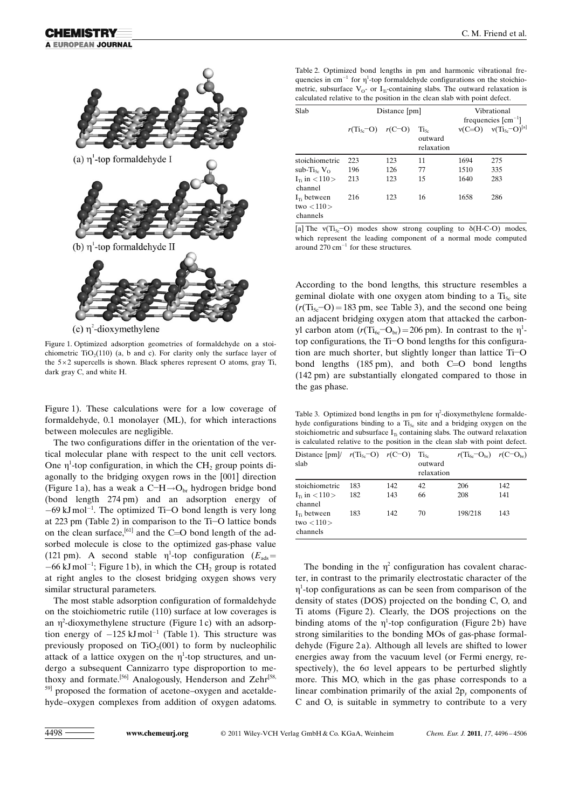

(c)  $\eta^2$ -dioxymethylene

Figure 1. Optimized adsorption geometries of formaldehyde on a stoichiometric  $TiO<sub>2</sub>(110)$  (a, b and c). For clarity only the surface layer of the  $5 \times 2$  supercells is shown. Black spheres represent O atoms, gray Ti, dark gray C, and white H.

Figure 1). These calculations were for a low coverage of formaldehyde, 0.1 monolayer (ML), for which interactions between molecules are negligible.

The two configurations differ in the orientation of the vertical molecular plane with respect to the unit cell vectors. One  $\eta^1$ -top configuration, in which the CH<sub>2</sub> group points diagonally to the bridging oxygen rows in the [001] direction (Figure 1 a), has a weak a C-H $\rightarrow$ O<sub>br</sub> hydrogen bridge bond (bond length 274 pm) and an adsorption energy of  $-69$  kJ mol<sup>-1</sup>. The optimized Ti-O bond length is very long at 223 pm (Table 2) in comparison to the Ti-O lattice bonds on the clean surface,<sup>[61]</sup> and the C=O bond length of the adsorbed molecule is close to the optimized gas-phase value (121 pm). A second stable  $\eta^1$ -top configuration ( $E_{ads}$ =  $-66$  kJ mol<sup>-1</sup>; Figure 1 b), in which the CH<sub>2</sub> group is rotated at right angles to the closest bridging oxygen shows very similar structural parameters.

The most stable adsorption configuration of formaldehyde on the stoichiometric rutile (110) surface at low coverages is an  $\eta^2$ -dioxymethylene structure (Figure 1c) with an adsorption energy of  $-125 \text{ kJ} \text{mol}^{-1}$  (Table 1). This structure was previously proposed on  $TiO<sub>2</sub>(001)$  to form by nucleophilic attack of a lattice oxygen on the  $\eta$ <sup>1</sup>-top structures, and undergo a subsequent Cannizarro type disproportion to methoxy and formate.<sup>[56]</sup> Analogously, Henderson and Zehr<sup>[58,</sup> 59] proposed the formation of acetone–oxygen and acetaldehyde–oxygen complexes from addition of oxygen adatoms. Table 2. Optimized bond lengths in pm and harmonic vibrational frequencies in  $cm^{-1}$  for  $\eta^1$ -top formaldehyde configurations on the stoichiometric, subsurface  $V_0$ - or  $I_T$ -containing slabs. The outward relaxation is calculated relative to the position in the clean slab with point defect.

| Slab                                              | Distance [pm]           |     |                                    | Vibrational<br>frequencies $\text{[cm}^{-1}$ |                      |
|---------------------------------------------------|-------------------------|-----|------------------------------------|----------------------------------------------|----------------------|
|                                                   | $r(T_{15c}-O)$ $r(C-O)$ |     | $Ti_{5c}$<br>outward<br>relaxation | $v(C=O)$                                     | $v(T_{15c}-O)^{[a]}$ |
| stoichiometric                                    | 223                     | 123 | 11                                 | 1694                                         | 275                  |
| sub-Ti <sub>5c</sub> $V_{\Omega}$                 | 196                     | 126 | 77                                 | 1510                                         | 335                  |
| $I_{\rm \tau s}$ in $< 110 >$<br>channel          | 213                     | 123 | 15                                 | 1640                                         | 283                  |
| $I_{\text{T}}$ between<br>two $< 110$<br>channels | 216                     | 123 | 16                                 | 1658                                         | 286                  |

[a] The  $v(T_{5c}-O)$  modes show strong coupling to  $\delta(H-C-O)$  modes, which represent the leading component of a normal mode computed around  $270 \text{ cm}^{-1}$  for these structures.

According to the bond lengths, this structure resembles a geminal diolate with one oxygen atom binding to a  $Ti<sub>5c</sub>$  site  $(r(T_{15c}-O) = 183 \text{ pm}$ , see Table 3), and the second one being an adjacent bridging oxygen atom that attacked the carbonyl carbon atom  $(r(T_{6c}-O_{br})=206 \text{ pm})$ . In contrast to the  $\eta^1$ top configurations, the Ti-O bond lengths for this configuration are much shorter, but slightly longer than lattice Ti-O bond lengths  $(185 \text{ pm})$ , and both C=O bond lengths (142 pm) are substantially elongated compared to those in the gas phase.

Table 3. Optimized bond lengths in pm for  $\eta^2$ -dioxymethylene formaldehyde configurations binding to a  $Ti<sub>5c</sub>$  site and a bridging oxygen on the stoichiometric and subsurface  $I_{Ti}$  containing slabs. The outward relaxation is calculated relative to the position in the clean slab with point defect.

| Distance $\text{[pm]}$ $r(\text{Ti}_{5c}-\text{O})$ $r(\text{C}-\text{O})$<br>slab |     |     | $Ti_{5c}$<br>outward<br>relaxation | $r(Ti_{6c}$ <sup>-</sup> O <sub>br</sub> ) $r(C$ <sup>-</sup> O <sub>br</sub> ) |     |
|------------------------------------------------------------------------------------|-----|-----|------------------------------------|---------------------------------------------------------------------------------|-----|
| stoichiometric                                                                     | 183 | 142 | 42                                 | 206                                                                             | 142 |
| $I_{\text{tr}}$ in $\langle 110 \rangle$<br>channel                                | 182 | 143 | 66                                 | 208                                                                             | 141 |
| $I_{\text{Ti}}$ between<br>two $< 110$<br>channels                                 | 183 | 142 | 70                                 | 198/218                                                                         | 143 |

The bonding in the  $\eta^2$  configuration has covalent character, in contrast to the primarily electrostatic character of the  $\eta$ <sup>1</sup>-top configurations as can be seen from comparison of the density of states (DOS) projected on the bonding C, O, and Ti atoms (Figure 2). Clearly, the DOS projections on the binding atoms of the  $\eta^1$ -top configuration (Figure 2b) have strong similarities to the bonding MOs of gas-phase formaldehyde (Figure 2a). Although all levels are shifted to lower energies away from the vacuum level (or Fermi energy, respectively), the 60 level appears to be perturbed slightly more. This MO, which in the gas phase corresponds to a linear combination primarily of the axial  $2p_y$  components of C and O, is suitable in symmetry to contribute to a very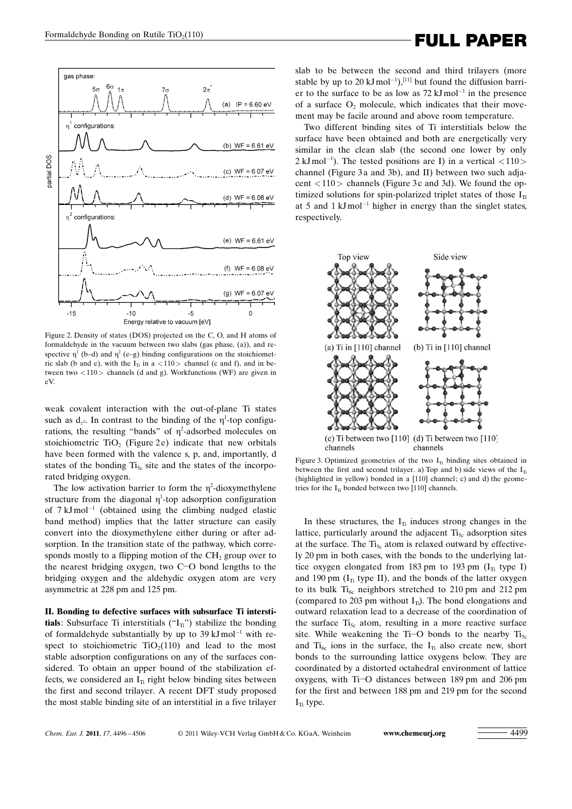# Formaldehyde Bonding on Rutile TiO<sub>2</sub>(110)<br> **FULL PAPER**



Figure 2. Density of states (DOS) projected on the C, O, and H atoms of formaldehyde in the vacuum between two slabs (gas phase, (a)), and respective  $\eta^1$  (b–d) and  $\eta^2$  (e–g) binding configurations on the stoichiometric slab (b and e), with the  $I_{\text{Ti}}$  in a <110 > channel (c and f), and in between two  $\langle 110 \rangle$  channels (d and g). Workfunctions (WF) are given in eV.

weak covalent interaction with the out-of-plane Ti states such as  $d_{z^2}$ . In contrast to the binding of the  $\eta^1$ -top configurations, the resulting "bands" of  $\eta^2$ -adsorbed molecules on stoichiometric  $TiO<sub>2</sub>$  (Figure 2e) indicate that new orbitals have been formed with the valence s, p, and, importantly, d states of the bonding  $Ti<sub>5c</sub>$  site and the states of the incorporated bridging oxygen.

The low activation barrier to form the  $\eta^2$ -dioxymethylene structure from the diagonal  $\eta^1$ -top adsorption configuration of  $7 \text{ kJ} \text{ mol}^{-1}$  (obtained using the climbing nudged elastic band method) implies that the latter structure can easily convert into the dioxymethylene either during or after adsorption. In the transition state of the pathway, which corresponds mostly to a flipping motion of the  $CH<sub>2</sub>$  group over to the nearest bridging oxygen, two C-O bond lengths to the bridging oxygen and the aldehydic oxygen atom are very asymmetric at 228 pm and 125 pm.

II. Bonding to defective surfaces with subsurface Ti interstitials: Subsurface Ti interstitials  $({}^{\circ}I_{T}{}^{\circ})$  stabilize the bonding of formaldehyde substantially by up to  $39 \text{ kJ} \text{mol}^{-1}$  with respect to stoichiometric  $TiO<sub>2</sub>(110)$  and lead to the most stable adsorption configurations on any of the surfaces considered. To obtain an upper bound of the stabilization effects, we considered an  $I<sub>Ti</sub>$  right below binding sites between the first and second trilayer. A recent DFT study proposed the most stable binding site of an interstitial in a five trilayer slab to be between the second and third trilayers (more stable by up to 20 kJ mol<sup>-1</sup>),<sup>[11]</sup> but found the diffusion barrier to the surface to be as low as  $72 \text{ kJ} \text{ mol}^{-1}$  in the presence of a surface  $O<sub>2</sub>$  molecule, which indicates that their movement may be facile around and above room temperature.

Two different binding sites of Ti interstitials below the surface have been obtained and both are energetically very similar in the clean slab (the second one lower by only  $2 \text{ kJ} \text{mol}^{-1}$ ). The tested positions are I) in a vertical  $\langle 110 \rangle$ channel (Figure 3a and 3b), and II) between two such adjacent  $\langle 110 \rangle$  channels (Figure 3c and 3d). We found the optimized solutions for spin-polarized triplet states of those  $I_{Ti}$ at 5 and  $1 \text{ kJ} \text{mol}^{-1}$  higher in energy than the singlet states, respectively.



Figure 3. Optimized geometries of the two  $I_{Ti}$  binding sites obtained in between the first and second trilayer. a) Top and b) side views of the  $I_T$ (highlighted in yellow) bonded in a [110] channel; c) and d) the geometries for the  $I_{\text{T}}$  bonded between two [110] channels.

In these structures, the  $I_{Ti}$  induces strong changes in the lattice, particularly around the adjacent  $Ti<sub>5c</sub>$  adsorption sites at the surface. The  $Ti<sub>5c</sub>$  atom is relaxed outward by effectively 20 pm in both cases, with the bonds to the underlying lattice oxygen elongated from 183 pm to 193 pm  $(I<sub>Ti</sub>$  type I) and 190 pm  $(I_{Ti}$  type II), and the bonds of the latter oxygen to its bulk  $Ti_{6c}$  neighbors stretched to 210 pm and 212 pm (compared to 203 pm without  $I_{Ti}$ ). The bond elongations and outward relaxation lead to a decrease of the coordination of the surface  $Ti<sub>5c</sub>$  atom, resulting in a more reactive surface site. While weakening the Ti-O bonds to the nearby  $Ti<sub>5c</sub>$ and  $Ti_{6c}$  ions in the surface, the  $I_{Ti}$  also create new, short bonds to the surrounding lattice oxygens below. They are coordinated by a distorted octahedral environment of lattice oxygens, with Ti-O distances between 189 pm and 206 pm for the first and between 188 pm and 219 pm for the second  $I_{Ti}$  type.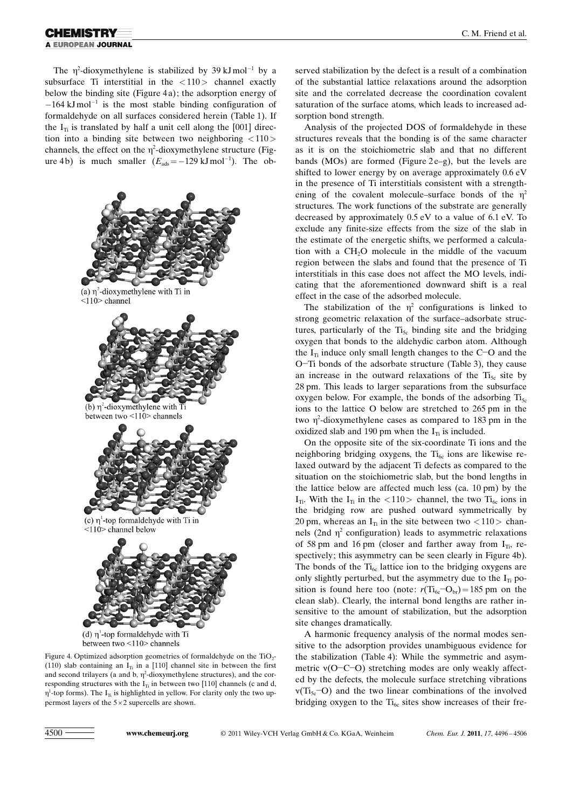#### HEMISTRY **A EUROPEAN JOURNAL**

The  $\eta^2$ -dioxymethylene is stabilized by 39 kJmol<sup>-1</sup> by a subsurface Ti interstitial in the  $\langle 110 \rangle$  channel exactly below the binding site (Figure 4a); the adsorption energy of  $-164 \text{ kJ} \text{mol}^{-1}$  is the most stable binding configuration of formaldehyde on all surfaces considered herein (Table 1). If the  $I_{Ti}$  is translated by half a unit cell along the [001] direction into a binding site between two neighboring <110> channels, the effect on the  $\eta^2$ -dioxymethylene structure (Figure 4b) is much smaller  $(E_{ads} = -129 \text{ kJ} \text{ mol}^{-1})$ . The ob-



Figure 4. Optimized adsorption geometries of formaldehyde on the  $TiO<sub>2</sub>$ -(110) slab containing an  $I_{Ti}$  in a [110] channel site in between the first and second trilayers (a and b,  $\eta^2$ -dioxymethylene structures), and the corresponding structures with the  $I_{\text{Ti}}$  in between two [110] channels (c and d,  $\eta^1$ -top forms). The I<sub>Ti</sub> is highlighted in yellow. For clarity only the two uppermost layers of the  $5 \times 2$  supercells are shown.

served stabilization by the defect is a result of a combination of the substantial lattice relaxations around the adsorption site and the correlated decrease the coordination covalent saturation of the surface atoms, which leads to increased adsorption bond strength.

Analysis of the projected DOS of formaldehyde in these structures reveals that the bonding is of the same character as it is on the stoichiometric slab and that no different bands (MOs) are formed (Figure  $2e-g$ ), but the levels are shifted to lower energy by on average approximately 0.6 eV in the presence of Ti interstitials consistent with a strengthening of the covalent molecule–surface bonds of the  $\eta^2$ structures. The work functions of the substrate are generally decreased by approximately 0.5 eV to a value of 6.1 eV. To exclude any finite-size effects from the size of the slab in the estimate of the energetic shifts, we performed a calculation with a CH<sub>2</sub>O molecule in the middle of the vacuum region between the slabs and found that the presence of Ti interstitials in this case does not affect the MO levels, indicating that the aforementioned downward shift is a real effect in the case of the adsorbed molecule.

The stabilization of the  $\eta^2$  configurations is linked to strong geometric relaxation of the surface–adsorbate structures, particularly of the  $Ti<sub>5c</sub>$  binding site and the bridging oxygen that bonds to the aldehydic carbon atom. Although the  $I_{Ti}$  induce only small length changes to the C-O and the O-Ti bonds of the adsorbate structure (Table 3), they cause an increase in the outward relaxations of the  $Ti<sub>5c</sub>$  site by 28 pm. This leads to larger separations from the subsurface oxygen below. For example, the bonds of the adsorbing  $Ti<sub>5c</sub>$ ions to the lattice O below are stretched to 265 pm in the two  $\eta^2$ -dioxymethylene cases as compared to 183 pm in the oxidized slab and 190 pm when the  $I_{Ti}$  is included.

On the opposite site of the six-coordinate Ti ions and the neighboring bridging oxygens, the  $Ti_{6c}$  ions are likewise relaxed outward by the adjacent Ti defects as compared to the situation on the stoichiometric slab, but the bond lengths in the lattice below are affected much less (ca. 10 pm) by the  $I_{Ti}$ . With the  $I_{Ti}$  in the  $\langle 110 \rangle$  channel, the two  $Ti_{6c}$  ions in the bridging row are pushed outward symmetrically by 20 pm, whereas an  $I_{Ti}$  in the site between two  $\langle 110 \rangle$  channels (2nd  $\eta^2$  configuration) leads to asymmetric relaxations of 58 pm and 16 pm (closer and farther away from  $I_{T_i}$ , respectively; this asymmetry can be seen clearly in Figure 4b). The bonds of the  $Ti_{6c}$  lattice ion to the bridging oxygens are only slightly perturbed, but the asymmetry due to the  $I_{Ti}$  position is found here too (note:  $r(T_{6c} - O_{br}) = 185$  pm on the clean slab). Clearly, the internal bond lengths are rather insensitive to the amount of stabilization, but the adsorption site changes dramatically.

A harmonic frequency analysis of the normal modes sensitive to the adsorption provides unambiguous evidence for the stabilization (Table 4): While the symmetric and asymmetric v(O-C-O) stretching modes are only weakly affected by the defects, the molecule surface stretching vibrations  $v(T_{5c}-O)$  and the two linear combinations of the involved bridging oxygen to the  $Ti_{6c}$  sites show increases of their fre-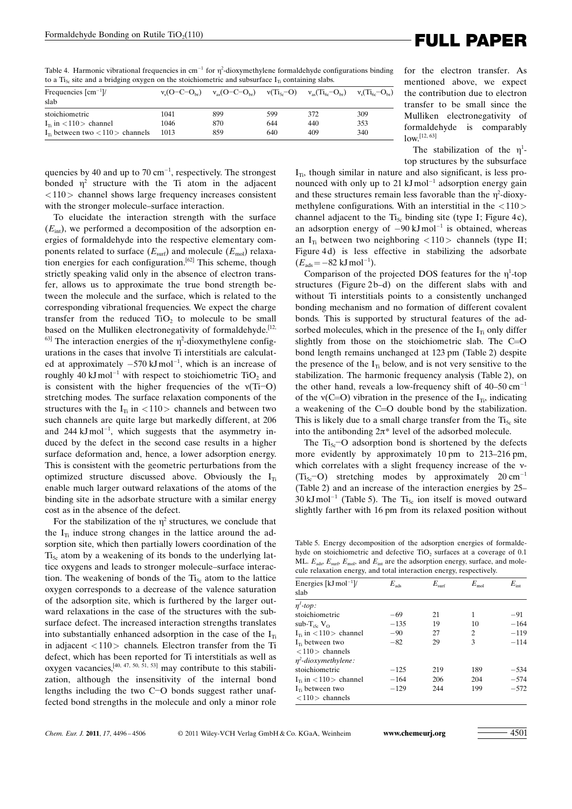Table 4. Harmonic vibrational frequencies in  $cm^{-1}$  for  $\eta^2$ -dioxymethylene formaldehyde configurations binding to a Ti<sub>5c</sub> site and a bridging oxygen on the stoichiometric and subsurface  $I_{Ti}$  containing slabs.

| Frequencies $\text{[cm}^{-1}$ /<br>slab         | $v_s$ (O-C-O <sub>br</sub> ) | $v_{\rm ss}$ (O-C-O <sub>br</sub> ) $v(T_{\rm 1s}$ -O) |     | $v_{\rm as}$ (Ti <sub>6c</sub> -O <sub>br</sub> ) | $v_s(T_{16c} - O_{16c})$ |
|-------------------------------------------------|------------------------------|--------------------------------------------------------|-----|---------------------------------------------------|--------------------------|
| stoichiometric                                  | 1041                         | 899                                                    | 599 | 372                                               | 309                      |
| $I_{\text{B}}$ in $\langle 110 \rangle$ channel | 1046                         | 870                                                    | 644 | 440                                               | 353                      |
| $IT$ between two $\langle 110 \rangle$ channels | 1013                         | 859                                                    | 640 | 409                                               | 340                      |

quencies by 40 and up to 70  $cm^{-1}$ , respectively. The strongest bonded  $\eta^2$  structure with the Ti atom in the adjacent <110> channel shows large frequency increases consistent with the stronger molecule–surface interaction.

To elucidate the interaction strength with the surface  $(E_{\text{int}})$ , we performed a decomposition of the adsorption energies of formaldehyde into the respective elementary components related to surface  $(E_{\text{surf}})$  and molecule  $(E_{\text{mol}})$  relaxation energies for each configuration.[62] This scheme, though strictly speaking valid only in the absence of electron transfer, allows us to approximate the true bond strength between the molecule and the surface, which is related to the corresponding vibrational frequencies. We expect the charge transfer from the reduced  $TiO<sub>2</sub>$  to molecule to be small based on the Mulliken electronegativity of formaldehyde.<sup>[12,</sup>  $^{63}$  The interaction energies of the  $\eta^2$ -dioxymethylene configurations in the cases that involve Ti interstitials are calculated at approximately  $-570 \text{ kJ} \text{ mol}^{-1}$ , which is an increase of roughly 40 kJ mol<sup>-1</sup> with respect to stoichiometric  $TiO<sub>2</sub>$  and is consistent with the higher frequencies of the  $v(Ti-O)$ stretching modes. The surface relaxation components of the structures with the  $I_{Ti}$  in  $\langle 110 \rangle$  channels and between two such channels are quite large but markedly different, at 206 and 244  $kJ$  mol<sup>-1</sup>, which suggests that the asymmetry induced by the defect in the second case results in a higher surface deformation and, hence, a lower adsorption energy. This is consistent with the geometric perturbations from the optimized structure discussed above. Obviously the  $I_{Ti}$ enable much larger outward relaxations of the atoms of the binding site in the adsorbate structure with a similar energy cost as in the absence of the defect.

For the stabilization of the  $\eta^2$  structures, we conclude that the  $I_{Ti}$  induce strong changes in the lattice around the adsorption site, which then partially lowers coordination of the  $Ti_{5c}$  atom by a weakening of its bonds to the underlying lattice oxygens and leads to stronger molecule–surface interaction. The weakening of bonds of the  $Ti<sub>5c</sub>$  atom to the lattice oxygen corresponds to a decrease of the valence saturation of the adsorption site, which is furthered by the larger outward relaxations in the case of the structures with the subsurface defect. The increased interaction strengths translates into substantially enhanced adsorption in the case of the  $I_{Ti}$ in adjacent <110> channels. Electron transfer from the Ti defect, which has been reported for Ti interstitials as well as oxygen vacancies,<sup>[40, 47, 50, 51, 53]</sup> may contribute to this stabilization, although the insensitivity of the internal bond lengths including the two C-O bonds suggest rather unaffected bond strengths in the molecule and only a minor role

## Formaldehyde Bonding on Rutile TiO<sub>2</sub>(110)<br> **FULL PAPER**

for the electron transfer. As mentioned above, we expect the contribution due to electron transfer to be small since the Mulliken electronegativity of formaldehyde is comparably  $low.$ <sup>[12, 63]</sup>

The stabilization of the  $\eta^1$ top structures by the subsurface

 $I_{Ti}$ , though similar in nature and also significant, is less pronounced with only up to 21  $kJ$  mol<sup>-1</sup> adsorption energy gain and these structures remain less favorable than the  $\eta^2$ -dioxymethylene configurations. With an interstitial in the  $\langle 110 \rangle$ channel adjacent to the  $Ti<sub>5c</sub>$  binding site (type I; Figure 4c), an adsorption energy of  $-90 \text{ kJ} \text{ mol}^{-1}$  is obtained, whereas an  $I_{\text{ti}}$  between two neighboring <110> channels (type II; Figure 4d) is less effective in stabilizing the adsorbate  $(E_{ads} = -82 \text{ kJ mol}^{-1}).$ 

Comparison of the projected DOS features for the  $\eta^1$ -top structures (Figure 2b–d) on the different slabs with and without Ti interstitials points to a consistently unchanged bonding mechanism and no formation of different covalent bonds. This is supported by structural features of the adsorbed molecules, which in the presence of the  $I_{Ti}$  only differ slightly from those on the stoichiometric slab. The C=O bond length remains unchanged at 123 pm (Table 2) despite the presence of the  $I_{T_i}$  below, and is not very sensitive to the stabilization. The harmonic frequency analysis (Table 2), on the other hand, reveals a low-frequency shift of  $40-50$  cm<sup>-1</sup> of the  $v(C=O)$  vibration in the presence of the I<sub>Ti</sub>, indicating a weakening of the C=O double bond by the stabilization. This is likely due to a small charge transfer from the  $Ti<sub>5c</sub>$  site into the antibonding  $2\pi^*$  level of the adsorbed molecule.

The  $Ti_{5c}$ -O adsorption bond is shortened by the defects more evidently by approximately 10 pm to 213–216 pm, which correlates with a slight frequency increase of the  $v$ - $(Ti<sub>5c</sub>-O)$  stretching modes by approximately 20 cm<sup>-1</sup> (Table 2) and an increase of the interaction energies by 25– 30 kJ mol<sup>-1</sup> (Table 5). The Ti<sub>5c</sub> ion itself is moved outward slightly farther with 16 pm from its relaxed position without

Table 5. Energy decomposition of the adsorption energies of formaldehyde on stoichiometric and defective  $TiO<sub>2</sub>$  surfaces at a coverage of 0.1 ML.  $E_{\text{ads}}$ ,  $E_{\text{surf}}$ ,  $E_{\text{mol}}$ , and  $E_{\text{int}}$  are the adsorption energy, surface, and molecule relaxation energy, and total interaction energy,

| Energies $[kJ mol^{-1}]$ /                      | $E_{\rm ads}$ | $E_{\rm surf}$ | $E_{\rm mol}$ | $E_{\rm int}$ |
|-------------------------------------------------|---------------|----------------|---------------|---------------|
| slab                                            |               |                |               |               |
| $\eta^1$ -top:                                  |               |                |               |               |
| stoichiometric                                  | $-69$         | 21             | 1             | $-91$         |
| sub-T <sub>iss</sub> $V_{\Omega}$               | $-135$        | 19             | 10            | $-164$        |
| $I_{\text{B}}$ in $\langle 110 \rangle$ channel | $-90$         | 27             | 2             | $-119$        |
| $I_{\text{ts}}$ between two                     | $-82$         | 29             | 3             | $-114$        |
| $<$ 110 > channels                              |               |                |               |               |
| $\eta^2$ -dioxymethylene:                       |               |                |               |               |
| stoichiometric                                  | $-125$        | 219            | 189           | $-534$        |
| $I_{\text{B}}$ in $\langle 110 \rangle$ channel | $-164$        | 206            | 204           | $-574$        |
| $I_{\text{ts}}$ between two                     | $-129$        | 244            | 199           | $-572$        |
| $\langle 110 \rangle$ channels                  |               |                |               |               |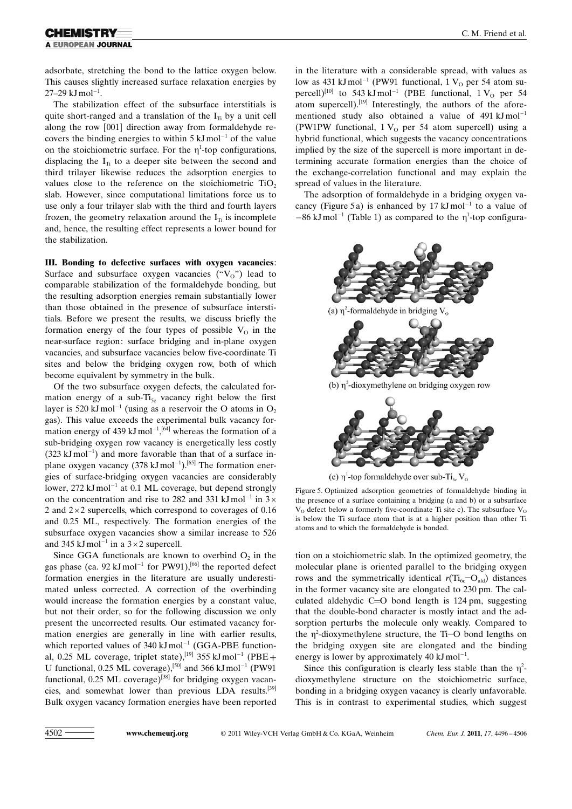## A EUROPEAN JOURNAL

adsorbate, stretching the bond to the lattice oxygen below. This causes slightly increased surface relaxation energies by  $27-29 \text{ kJ} \text{ mol}^{-1}$ .

The stabilization effect of the subsurface interstitials is quite short-ranged and a translation of the  $I<sub>T</sub>$  by a unit cell along the row [001] direction away from formaldehyde recovers the binding energies to within  $5 \text{ kJ} \text{mol}^{-1}$  of the value on the stoichiometric surface. For the  $\eta^1$ -top configurations, displacing the  $I_{Ti}$  to a deeper site between the second and third trilayer likewise reduces the adsorption energies to values close to the reference on the stoichiometric  $TiO<sub>2</sub>$ slab. However, since computational limitations force us to use only a four trilayer slab with the third and fourth layers frozen, the geometry relaxation around the  $I_{T_i}$  is incomplete and, hence, the resulting effect represents a lower bound for the stabilization.

III. Bonding to defective surfaces with oxygen vacancies: Surface and subsurface oxygen vacancies  $({}^{\omega}V_0$ ") lead to comparable stabilization of the formaldehyde bonding, but the resulting adsorption energies remain substantially lower than those obtained in the presence of subsurface interstitials. Before we present the results, we discuss briefly the formation energy of the four types of possible  $V_0$  in the near-surface region: surface bridging and in-plane oxygen vacancies, and subsurface vacancies below five-coordinate Ti sites and below the bridging oxygen row, both of which become equivalent by symmetry in the bulk.

Of the two subsurface oxygen defects, the calculated formation energy of a sub- $Ti<sub>5c</sub>$  vacancy right below the first layer is 520 kJ mol<sup>-1</sup> (using as a reservoir the O atoms in  $O_2$ gas). This value exceeds the experimental bulk vacancy formation energy of 439  $kJ$ mol<sup>-1</sup>,<sup>[64]</sup> whereas the formation of a sub-bridging oxygen row vacancy is energetically less costly  $(323 \text{ kJ} \text{ mol}^{-1})$  and more favorable than that of a surface inplane oxygen vacancy  $(378 \text{ kJ} \text{ mol}^{-1})$ .<sup>[65]</sup> The formation energies of surface-bridging oxygen vacancies are considerably lower, 272 kJ mol<sup>-1</sup> at 0.1 ML coverage, but depend strongly on the concentration and rise to 282 and 331 kJ mol<sup>-1</sup> in  $3 \times$ 2 and  $2 \times 2$  supercells, which correspond to coverages of 0.16 and 0.25 ML, respectively. The formation energies of the subsurface oxygen vacancies show a similar increase to 526 and 345 kJ mol<sup>-1</sup> in a  $3 \times 2$  supercell.

Since GGA functionals are known to overbind  $O<sub>2</sub>$  in the gas phase (ca. 92 kJ mol<sup>-1</sup> for PW91),<sup>[66]</sup> the reported defect formation energies in the literature are usually underestimated unless corrected. A correction of the overbinding would increase the formation energies by a constant value, but not their order, so for the following discussion we only present the uncorrected results. Our estimated vacancy formation energies are generally in line with earlier results, which reported values of  $340 \text{ kJ} \text{mol}^{-1}$  (GGA-PBE functional, 0.25 ML coverage, triplet state),<sup>[19]</sup> 355 kJ mol<sup>-1</sup> (PBE+ U functional, 0.25 ML coverage),<sup>[50]</sup> and 366 kJ mol<sup>-1</sup> (PW91) functional,  $0.25$  ML coverage)<sup>[38]</sup> for bridging oxygen vacancies, and somewhat lower than previous LDA results.[39] Bulk oxygen vacancy formation energies have been reported in the literature with a considerable spread, with values as low as 431 kJ mol<sup>-1</sup> (PW91 functional, 1  $V_0$  per 54 atom supercell)<sup>[10]</sup> to 543 kJ mol<sup>-1</sup> (PBE functional, 1  $V_0$  per 54 atom supercell).<sup>[19]</sup> Interestingly, the authors of the aforementioned study also obtained a value of  $491 \text{ kJ} \text{mol}^{-1}$ (PW1PW functional,  $1 V<sub>o</sub>$  per 54 atom supercell) using a hybrid functional, which suggests the vacancy concentrations implied by the size of the supercell is more important in determining accurate formation energies than the choice of the exchange-correlation functional and may explain the spread of values in the literature.

The adsorption of formaldehyde in a bridging oxygen vacancy (Figure 5a) is enhanced by 17  $kJ$ mol<sup>-1</sup> to a value of  $-86 \text{ kJ} \text{ mol}^{-1}$  (Table 1) as compared to the  $\eta^1$ -top configura-





(c)  $\eta^1$ -top formaldehyde over sub-Ti<sub>se</sub> V<sub>o</sub>

Figure 5. Optimized adsorption geometries of formaldehyde binding in the presence of a surface containing a bridging (a and b) or a subsurface  $V<sub>o</sub>$  defect below a formerly five-coordinate Ti site c). The subsurface  $V<sub>o</sub>$ is below the Ti surface atom that is at a higher position than other Ti atoms and to which the formaldehyde is bonded.

tion on a stoichiometric slab. In the optimized geometry, the molecular plane is oriented parallel to the bridging oxygen rows and the symmetrically identical  $r(\text{Ti}_{6c}-\text{O}_{\text{ald}})$  distances in the former vacancy site are elongated to 230 pm. The calculated aldehydic  $C=O$  bond length is 124 pm, suggesting that the double-bond character is mostly intact and the adsorption perturbs the molecule only weakly. Compared to the  $\eta^2$ -dioxymethylene structure, the Ti–O bond lengths on the bridging oxygen site are elongated and the binding energy is lower by approximately  $40 \text{ kJ} \text{mol}^{-1}$ .

Since this configuration is clearly less stable than the  $\eta^2$ dioxymethylene structure on the stoichiometric surface, bonding in a bridging oxygen vacancy is clearly unfavorable. This is in contrast to experimental studies, which suggest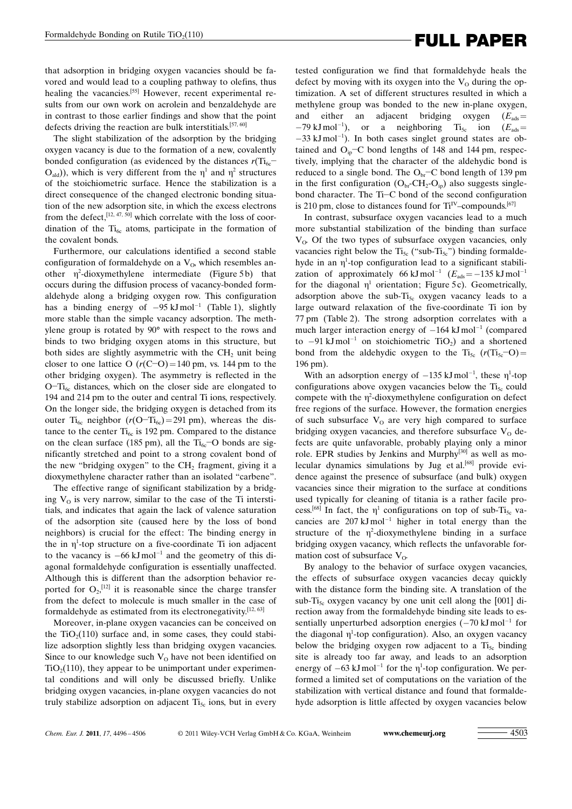# Formaldehyde Bonding on Rutile TiO<sub>2</sub>(110)<br> **FULL PAPER**

that adsorption in bridging oxygen vacancies should be favored and would lead to a coupling pathway to olefins, thus healing the vacancies.<sup>[55]</sup> However, recent experimental results from our own work on acrolein and benzaldehyde are in contrast to those earlier findings and show that the point defects driving the reaction are bulk interstitials.<sup>[57, 60]</sup>

The slight stabilization of the adsorption by the bridging oxygen vacancy is due to the formation of a new, covalently bonded configuration (as evidenced by the distances  $r(\text{Ti}_{6c}$ - $O_{\text{add}}$ ), which is very different from the  $\eta^1$  and  $\eta^2$  structures of the stoichiometric surface. Hence the stabilization is a direct consequence of the changed electronic bonding situation of the new adsorption site, in which the excess electrons from the defect,  $[12, 47, 50]$  which correlate with the loss of coordination of the  $Ti_{6c}$  atoms, participate in the formation of the covalent bonds.

Furthermore, our calculations identified a second stable configuration of formaldehyde on a  $V_0$ , which resembles another  $\eta^2$ -dioxymethylene intermediate (Figure 5b) that occurs during the diffusion process of vacancy-bonded formaldehyde along a bridging oxygen row. This configuration has a binding energy of  $-95 \text{ kJ} \text{mol}^{-1}$  (Table 1), slightly more stable than the simple vacancy adsorption. The methylene group is rotated by 90° with respect to the rows and binds to two bridging oxygen atoms in this structure, but both sides are slightly asymmetric with the  $CH<sub>2</sub>$  unit being closer to one lattice O  $(r(C-D)=140 \text{ pm}, \text{ vs. } 144 \text{ pm}$  to the other bridging oxygen). The asymmetry is reflected in the O-Ti<sub>6c</sub> distances, which on the closer side are elongated to 194 and 214 pm to the outer and central Ti ions, respectively. On the longer side, the bridging oxygen is detached from its outer Ti<sub>6c</sub> neighbor ( $r(O-T_{16c}) = 291$  pm), whereas the distance to the center  $Ti_{6c}$  is 192 pm. Compared to the distance on the clean surface (185 pm), all the  $Ti_{6c}$ -O bonds are significantly stretched and point to a strong covalent bond of the new "bridging oxygen" to the  $CH<sub>2</sub>$  fragment, giving it a dioxymethylene character rather than an isolated "carbene".

The effective range of significant stabilization by a bridging  $V_0$  is very narrow, similar to the case of the Ti interstitials, and indicates that again the lack of valence saturation of the adsorption site (caused here by the loss of bond neighbors) is crucial for the effect: The binding energy in the in  $\eta^1$ -top structure on a five-coordinate Ti ion adjacent to the vacancy is  $-66 \text{ kJ} \text{mol}^{-1}$  and the geometry of this diagonal formaldehyde configuration is essentially unaffected. Although this is different than the adsorption behavior reported for  $O_2$ ,<sup>[12]</sup> it is reasonable since the charge transfer from the defect to molecule is much smaller in the case of formaldehyde as estimated from its electronegativity.<sup>[12, 63]</sup>

Moreover, in-plane oxygen vacancies can be conceived on the  $TiO<sub>2</sub>(110)$  surface and, in some cases, they could stabilize adsorption slightly less than bridging oxygen vacancies. Since to our knowledge such  $V_0$  have not been identified on  $TiO<sub>2</sub>(110)$ , they appear to be unimportant under experimental conditions and will only be discussed briefly. Unlike bridging oxygen vacancies, in-plane oxygen vacancies do not truly stabilize adsorption on adjacent  $Ti<sub>5c</sub>$  ions, but in every tested configuration we find that formaldehyde heals the defect by moving with its oxygen into the  $V<sub>o</sub>$  during the optimization. A set of different structures resulted in which a methylene group was bonded to the new in-plane oxygen, and either an adjacent bridging oxygen  $(E_{ads}$  $-79 \text{ kJ} \text{ mol}^{-1}$ ), or a neighboring Ti<sub>5c</sub> ion ( $E_{ads}$ =  $-33$  kJ mol<sup>-1</sup>). In both cases singlet ground states are obtained and  $O_{ip}$ –C bond lengths of 148 and 144 pm, respectively, implying that the character of the aldehydic bond is reduced to a single bond. The  $O_{\text{br}}$ –C bond length of 139 pm in the first configuration  $(O_{\text{br}}CH_2-O_{\text{ip}})$  also suggests singlebond character. The Ti-C bond of the second configuration is 210 pm, close to distances found for  $Ti<sup>IV</sup>$ –compounds.<sup>[67]</sup>

In contrast, subsurface oxygen vacancies lead to a much more substantial stabilization of the binding than surface  $V_{\alpha}$ . Of the two types of subsurface oxygen vacancies, only vacancies right below the  $Ti<sub>5c</sub>$  ("sub- $Ti<sub>5c</sub>$ ") binding formaldehyde in an  $\eta^1$ -top configuration lead to a significant stabilization of approximately 66 kJ mol<sup>-1</sup>  $(E_{ads} = -135 \text{ kJ} \text{ mol}^{-1}$ for the diagonal  $\eta^1$  orientation; Figure 5c). Geometrically, adsorption above the sub- $Ti<sub>5c</sub>$  oxygen vacancy leads to a large outward relaxation of the five-coordinate Ti ion by 77 pm (Table 2). The strong adsorption correlates with a much larger interaction energy of  $-164 \text{ kJ} \text{mol}^{-1}$  (compared to  $-91 \text{ kJ} \text{ mol}^{-1}$  on stoichiometric TiO<sub>2</sub>) and a shortened bond from the aldehydic oxygen to the  $Ti_{5c} (r(T_{15c}-O))$ 196 pm).

With an adsorption energy of  $-135 \text{ kJ} \text{mol}^{-1}$ , these  $\eta^1$ -top configurations above oxygen vacancies below the  $Ti<sub>5c</sub>$  could compete with the  $\eta^2$ -dioxymethylene configuration on defect free regions of the surface. However, the formation energies of such subsurface  $V_0$  are very high compared to surface bridging oxygen vacancies, and therefore subsurface  $V_0$  defects are quite unfavorable, probably playing only a minor role. EPR studies by Jenkins and Murphy<sup>[30]</sup> as well as molecular dynamics simulations by Jug et al.<sup>[68]</sup> provide evidence against the presence of subsurface (and bulk) oxygen vacancies since their migration to the surface at conditions used typically for cleaning of titania is a rather facile process.<sup>[68]</sup> In fact, the  $\eta^1$  configurations on top of sub-Ti<sub>5c</sub> vacancies are  $207 \text{ kJ} \text{ mol}^{-1}$  higher in total energy than the structure of the  $\eta^2$ -dioxymethylene binding in a surface bridging oxygen vacancy, which reflects the unfavorable formation cost of subsurface  $V_{\Omega}$ .

By analogy to the behavior of surface oxygen vacancies, the effects of subsurface oxygen vacancies decay quickly with the distance form the binding site. A translation of the sub-Ti<sub>5c</sub> oxygen vacancy by one unit cell along the  $[001]$  direction away from the formaldehyde binding site leads to essentially unperturbed adsorption energies  $(-70 \text{ kJ} \text{ mol}^{-1}$  for the diagonal  $\eta^1$ -top configuration). Also, an oxygen vacancy below the bridging oxygen row adjacent to a  $Ti<sub>5c</sub>$  binding site is already too far away, and leads to an adsorption energy of  $-63 \text{ kJ} \text{mol}^{-1}$  for the  $\eta^1$ -top configuration. We performed a limited set of computations on the variation of the stabilization with vertical distance and found that formaldehyde adsorption is little affected by oxygen vacancies below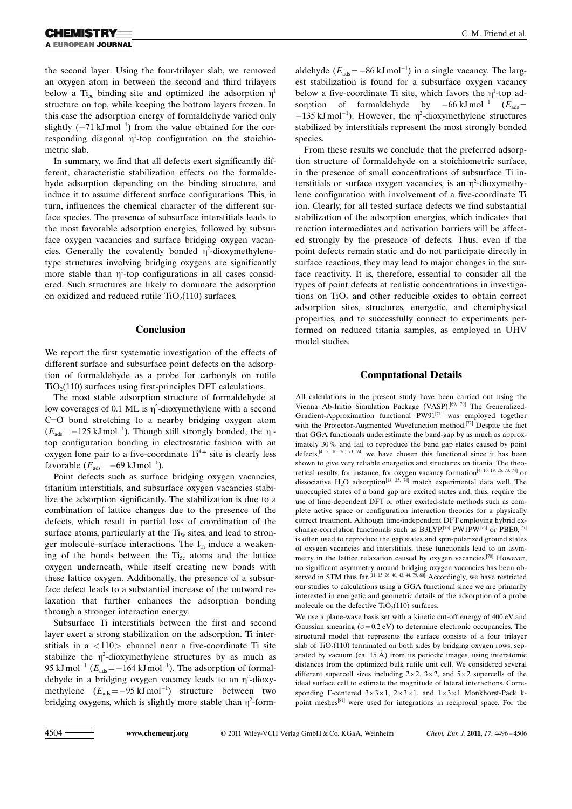the second layer. Using the four-trilayer slab, we removed an oxygen atom in between the second and third trilayers below a T<sub>i<sub>5c</sub> binding site and optimized the adsorption  $\eta^1$ </sub> structure on top, while keeping the bottom layers frozen. In this case the adsorption energy of formaldehyde varied only slightly  $(-71 \text{ kJ} \text{ mol}^{-1})$  from the value obtained for the corresponding diagonal  $\eta^1$ -top configuration on the stoichiometric slab.

In summary, we find that all defects exert significantly different, characteristic stabilization effects on the formaldehyde adsorption depending on the binding structure, and induce it to assume different surface configurations. This, in turn, influences the chemical character of the different surface species. The presence of subsurface interstitials leads to the most favorable adsorption energies, followed by subsurface oxygen vacancies and surface bridging oxygen vacancies. Generally the covalently bonded  $\eta^2$ -dioxymethylenetype structures involving bridging oxygens are significantly more stable than  $\eta^1$ -top configurations in all cases considered. Such structures are likely to dominate the adsorption on oxidized and reduced rutile  $TiO<sub>2</sub>(110)$  surfaces.

### Conclusion

We report the first systematic investigation of the effects of different surface and subsurface point defects on the adsorption of formaldehyde as a probe for carbonyls on rutile  $TiO<sub>2</sub>(110)$  surfaces using first-principles DFT calculations.

The most stable adsorption structure of formaldehyde at low coverages of 0.1 ML is  $\eta^2$ -dioxymethylene with a second C-O bond stretching to a nearby bridging oxygen atom  $(E_{ads} = -125 \text{ kJ} \text{ mol}^{-1})$ . Though still strongly bonded, the  $\eta^1$ top configuration bonding in electrostatic fashion with an oxygen lone pair to a five-coordinate Ti<sup>4+</sup> site is clearly less favorable  $(E_{ads} = -69 \text{ kJ} \text{ mol}^{-1}).$ 

Point defects such as surface bridging oxygen vacancies, titanium interstitials, and subsurface oxygen vacancies stabilize the adsorption significantly. The stabilization is due to a combination of lattice changes due to the presence of the defects, which result in partial loss of coordination of the surface atoms, particularly at the  $Ti<sub>5c</sub>$  sites, and lead to stronger molecule–surface interactions. The  $I_{Ti}$  induce a weakening of the bonds between the  $Ti<sub>5c</sub>$  atoms and the lattice oxygen underneath, while itself creating new bonds with these lattice oxygen. Additionally, the presence of a subsurface defect leads to a substantial increase of the outward relaxation that further enhances the adsorption bonding through a stronger interaction energy.

Subsurface Ti interstitials between the first and second layer exert a strong stabilization on the adsorption. Ti interstitials in  $a < 110$  channel near a five-coordinate Ti site stabilize the  $\eta^2$ -dioxymethylene structures by as much as 95 kJ mol<sup>-1</sup> ( $E_{ads} = -164$  kJ mol<sup>-1</sup>). The adsorption of formaldehyde in a bridging oxygen vacancy leads to an  $\eta^2$ -dioxymethylene  $(E_{ads} = -95 \text{ kJ} \text{ mol}^{-1})$  structure between two bridging oxygens, which is slightly more stable than  $\eta^2$ -form-

aldehyde ( $E_{ads} = -86 \text{ kJ} \text{ mol}^{-1}$ ) in a single vacancy. The largest stabilization is found for a subsurface oxygen vacancy below a five-coordinate Ti site, which favors the  $\eta^1$ -top adsorption of formaldehyde by  $-66 \text{ kJ} \text{mol}^{-1}$   $(E_{ads} =$  $-135 \text{ kJ} \text{mol}^{-1}$ ). However, the  $\eta^2$ -dioxymethylene structures stabilized by interstitials represent the most strongly bonded species.

From these results we conclude that the preferred adsorption structure of formaldehyde on a stoichiometric surface, in the presence of small concentrations of subsurface Ti interstitials or surface oxygen vacancies, is an  $\eta^2$ -dioxymethylene configuration with involvement of a five-coordinate Ti ion. Clearly, for all tested surface defects we find substantial stabilization of the adsorption energies, which indicates that reaction intermediates and activation barriers will be affected strongly by the presence of defects. Thus, even if the point defects remain static and do not participate directly in surface reactions, they may lead to major changes in the surface reactivity. It is, therefore, essential to consider all the types of point defects at realistic concentrations in investigations on  $TiO<sub>2</sub>$  and other reducible oxides to obtain correct adsorption sites, structures, energetic, and chemiphysical properties, and to successfully connect to experiments performed on reduced titania samples, as employed in UHV model studies.

### Computational Details

All calculations in the present study have been carried out using the Vienna Ab-Initio Simulation Package (VASP).[69, 70] The Generalized-Gradient-Approximation functional PW91[71] was employed together with the Projector-Augmented Wavefunction method.<sup>[72]</sup> Despite the fact that GGA functionals underestimate the band-gap by as much as approximately 30% and fail to reproduce the band gap states caused by point defects, $[4, 5, 10, 26, 73, 74]$  we have chosen this functional since it has been shown to give very reliable energetics and structures on titania. The theoretical results, for instance, for oxygen vacancy formation[4, 10, 19, 26, 73, 74] or dissociative  $H_2O$  adsorption<sup>[18, 25, 74]</sup> match experimental data well. The unoccupied states of a band gap are excited states and, thus, require the use of time-dependent DFT or other excited-state methods such as complete active space or configuration interaction theories for a physically correct treatment. Although time-independent DFT employing hybrid exchange-correlation functionals such as B3LYP,[75] PW1PW[76] or PBE0,[77] is often used to reproduce the gap states and spin-polarized ground states of oxygen vacancies and interstitials, these functionals lead to an asymmetry in the lattice relaxation caused by oxygen vacancies.[78] However, no significant asymmetry around bridging oxygen vacancies has been observed in STM thus far.<sup>[11, 15, 26, 40, 43, 44, 79, 80]</sup> Accordingly, we have restricted our studies to calculations using a GGA functional since we are primarily interested in energetic and geometric details of the adsorption of a probe molecule on the defective  $TiO<sub>2</sub>(110)$  surfaces.

We use a plane-wave basis set with a kinetic cut-off energy of 400 eV and Gaussian smearing  $(\sigma=0.2 \text{ eV})$  to determine electronic occupancies. The structural model that represents the surface consists of a four trilayer slab of  $TiO<sub>2</sub>(110)$  terminated on both sides by bridging oxygen rows, separated by vacuum (ca. 15 Å) from its periodic images, using interatomic distances from the optimized bulk rutile unit cell. We considered several different supercell sizes including  $2 \times 2$ ,  $3 \times 2$ , and  $5 \times 2$  supercells of the ideal surface cell to estimate the magnitude of lateral interactions. Corresponding  $\Gamma$ -centered  $3 \times 3 \times 1$ ,  $2 \times 3 \times 1$ , and  $1 \times 3 \times 1$  Monkhorst-Pack kpoint meshes[81] were used for integrations in reciprocal space. For the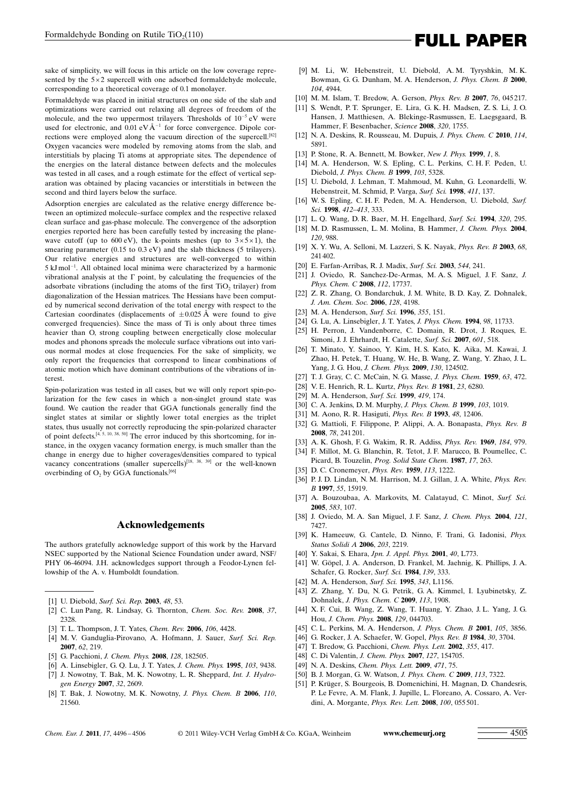sake of simplicity, we will focus in this article on the low coverage represented by the  $5 \times 2$  supercell with one adsorbed formaldehyde molecule, corresponding to a theoretical coverage of 0.1 monolayer.

Formaldehyde was placed in initial structures on one side of the slab and optimizations were carried out relaxing all degrees of freedom of the molecule, and the two uppermost trilayers. Thresholds of  $10^{-5}$  eV were used for electronic, and  $0.01 \text{ eV} \text{Å}^{-1}$  for force convergence. Dipole corrections were employed along the vacuum direction of the supercell.<sup>[82]</sup> Oxygen vacancies were modeled by removing atoms from the slab, and interstitials by placing Ti atoms at appropriate sites. The dependence of the energies on the lateral distance between defects and the molecules was tested in all cases, and a rough estimate for the effect of vertical separation was obtained by placing vacancies or interstitials in between the second and third layers below the surface.

Adsorption energies are calculated as the relative energy difference between an optimized molecule–surface complex and the respective relaxed clean surface and gas-phase molecule. The convergence of the adsorption energies reported here has been carefully tested by increasing the planewave cutoff (up to  $600 \text{ eV}$ ), the k-points meshes (up to  $3 \times 5 \times 1$ ), the smearing parameter (0.15 to 0.3 eV) and the slab thickness (5 trilayers). Our relative energies and structures are well-converged to within 5 kJ mol<sup>-1</sup>. All obtained local minima were characterized by a harmonic vibrational analysis at the  $\Gamma$  point, by calculating the frequencies of the adsorbate vibrations (including the atoms of the first  $TiO<sub>2</sub>$  trilayer) from diagonalization of the Hessian matrices. The Hessians have been computed by numerical second derivation of the total energy with respect to the Cartesian coordinates (displacements of  $\pm 0.025$  Å were found to give converged frequencies). Since the mass of Ti is only about three times heavier than O, strong coupling between energetically close molecular modes and phonons spreads the molecule surface vibrations out into various normal modes at close frequencies. For the sake of simplicity, we only report the frequencies that correspond to linear combinations of atomic motion which have dominant contributions of the vibrations of interest.

Spin-polarization was tested in all cases, but we will only report spin-polarization for the few cases in which a non-singlet ground state was found. We caution the reader that GGA functionals generally find the singlet states at similar or slightly lower total energies as the triplet states, thus usually not correctly reproducing the spin-polarized character of point defects.<sup>[4, 5, 10, 38, 50]</sup> The error induced by this shortcoming, for instance, in the oxygen vacancy formation energy, is much smaller than the change in energy due to higher coverages/densities compared to typical vacancy concentrations (smaller supercells)<sup>[18, 38, 39]</sup> or the well-known overbinding of  $O_2$  by GGA functionals.<sup>[66]</sup>

#### Acknowledgements

The authors gratefully acknowledge support of this work by the Harvard NSEC supported by the National Science Foundation under award, NSF/ PHY 06-46094. J.H. acknowledges support through a Feodor-Lynen fellowship of the A. v. Humboldt foundation.

- [1] U. Diebold, [Surf. Sci. Rep.](http://dx.doi.org/10.1016/S0167-5729(02)00100-0) 2003, 48, 53.
- [2] C. Lun Pang, R. Lindsay, G. Thornton, [Chem. Soc. Rev.](http://dx.doi.org/10.1039/b719085a) 2008, 37,  $2328$
- [3] T. L. Thompson, J. T. Yates, *[Chem. Rev.](http://dx.doi.org/10.1021/cr050172k)* **2006**, 106, 4428.
- [4] M. V. Ganduglia-Pirovano, A. Hofmann, J. Sauer, Surf. Sci. Rep. 2007, 62, 219.
- [5] G. Pacchioni, [J. Chem. Phys.](http://dx.doi.org/10.1063/1.2819245) 2008, 128, 182505.
- [6] A. Linsebigler, G. Q. Lu, J. T. Yates, [J. Chem. Phys.](http://dx.doi.org/10.1063/1.470005) 1995, 103, 9438.
- [7] J. Nowotny, T. Bak, M. K. Nowotny, L. R. Sheppard, [Int. J. Hydro](http://dx.doi.org/10.1016/j.ijhydene.2006.09.004)[gen Energy](http://dx.doi.org/10.1016/j.ijhydene.2006.09.004) 2007, 32, 2609.
- [8] T. Bak, J. Nowotny, M. K. Nowotny, [J. Phys. Chem. B](http://dx.doi.org/10.1021/jp063700k) 2006, 110, [21560.](http://dx.doi.org/10.1021/jp063700k)
- [9] M. Li, W. Hebenstreit, U. Diebold, A. M. Tyryshkin, M. K. Bowman, G. G. Dunham, M. A. Henderson, [J. Phys. Chem. B](http://dx.doi.org/10.1021/jp9943272) 2000, 104[, 4944](http://dx.doi.org/10.1021/jp9943272).
- [10] M. M. Islam, T. Bredow, A. Gerson, *Phys. Rev. B* 2007, 76, 045217.
- [11] S. Wendt, P. T. Sprunger, E. Lira, G. K. H. Madsen, Z. S. Li, J. O. Hansen, J. Matthiesen, A. Blekinge-Rasmussen, E. Laegsgaard, B. Hammer, F. Besenbacher, [Science](http://dx.doi.org/10.1126/science.1159846) 2008, 320, 1755.
- [12] N. A. Deskins, R. Rousseau, M. Dupuis, [J. Phys. Chem. C](http://dx.doi.org/10.1021/jp101155t) 2010, 114, [5891.](http://dx.doi.org/10.1021/jp101155t)
- [13] P. Stone, R. A. Bennett, M. Bowker, [New J. Phys.](http://dx.doi.org/10.1088/1367-2630/1/1/008) 1999, 1, 8.
- [14] M. A. Henderson, W. S. Epling, C. L. Perkins, C. H. F. Peden, U. Diebold, [J. Phys. Chem. B](http://dx.doi.org/10.1021/jp990655q) 1999, 103, 5328.
- [15] U. Diebold, J. Lehman, T. Mahmoud, M. Kuhn, G. Leonardelli, W. Hebenstreit, M. Schmid, P. Varga, [Surf. Sci.](http://dx.doi.org/10.1016/S0039-6028(98)00356-2) 1998, 411, 137.
- [16] W. S. Epling, C. H. F. Peden, M. A. Henderson, U. Diebold, [Surf.](http://dx.doi.org/10.1016/S0039-6028(98)00446-4) Sci. 1998, [412–413](http://dx.doi.org/10.1016/S0039-6028(98)00446-4), 333.
- [17] L. Q. Wang, D. R. Baer, M. H. Engelhard, [Surf. Sci.](http://dx.doi.org/10.1016/0039-6028(94)90317-4) 1994, 320, 295.
- [18] M. D. Rasmussen, L. M. Molina, B. Hammer, [J. Chem. Phys.](http://dx.doi.org/10.1063/1.1631922) 2004, 120[, 988](http://dx.doi.org/10.1063/1.1631922).
- [19] X. Y. Wu, A. Selloni, M. Lazzeri, S. K. Nayak, Phys. Rev. B 2003, 68, 241 402.
- [20] E. Farfan-Arribas, R. J. Madix, [Surf. Sci.](http://dx.doi.org/10.1016/j.susc.2003.08.025) 2003, 544, 241.
- [21] J. Oviedo, R. Sanchez-De-Armas, M. A. S. Miguel, J. F. Sanz, [J.](http://dx.doi.org/10.1021/jp805759y) [Phys. Chem. C](http://dx.doi.org/10.1021/jp805759y) 2008, 112, 17737.
- [22] Z. R. Zhang, O. Bondarchuk, J. M. White, B. D. Kay, Z. Dohnalek, [J. Am. Chem. Soc.](http://dx.doi.org/10.1021/ja058466a) 2006, 128, 4198.
- [23] M. A. Henderson, [Surf. Sci.](http://dx.doi.org/10.1016/0039-6028(95)01357-1) 1996, 355, 151.
- [24] G. Lu, A. Linsebigler, J. T. Yates, [J. Phys. Chem.](http://dx.doi.org/10.1021/j100096a017) 1994, 98, 11733.
- [25] H. Perron, J. Vandenborre, C. Domain, R. Drot, J. Roques, E. Simoni, J. J. Ehrhardt, H. Catalette, [Surf. Sci.](http://dx.doi.org/10.1016/j.susc.2006.10.015) 2007, 601, 518.
- [26] T. Minato, Y. Sainoo, Y. Kim, H. S. Kato, K. Aika, M. Kawai, J. Zhao, H. Petek, T. Huang, W. He, B. Wang, Z. Wang, Y. Zhao, J. L. Yang, J. G. Hou, [J. Chem. Phys.](http://dx.doi.org/10.1063/1.3082408) 2009, 130, 124502.
- [27] T. J. Gray, C. C. McCain, N. G. Masse, [J. Phys. Chem.](http://dx.doi.org/10.1021/j150574a006) 1959, 63, 472.
- [28] V. E. Henrich, R. L. Kurtz, [Phys. Rev. B](http://dx.doi.org/10.1103/PhysRevB.23.6280) 1981, 23, 6280.
- [29] M. A. Henderson, [Surf. Sci.](http://dx.doi.org/10.1016/S0039-6028(98)00778-X) 1999, 419, 174.
- [30] C. A. Jenkins, D. M. Murphy, [J. Phys. Chem. B](http://dx.doi.org/10.1021/jp982690n) 1999, 103, 1019.
- [31] M. Aono, R. R. Hasiguti, [Phys. Rev. B](http://dx.doi.org/10.1103/PhysRevB.48.12406) 1993, 48, 12406.
- [32] G. Mattioli, F. Filippone, P. Alippi, A. A. Bonapasta, Phys. Rev. B 2008, 78, 241 201.
- [33] A. K. Ghosh, F. G. Wakim, R. R. Addiss, [Phys. Rev.](http://dx.doi.org/10.1103/PhysRev.184.979) 1969, 184, 979.
- [34] F. Millot, M. G. Blanchin, R. Tetot, J. F. Marucco, B. Poumellec, C. Picard, B. Touzelin, [Prog. Solid State Chem.](http://dx.doi.org/10.1016/0079-6786(87)90004-5) 1987, 17, 263.
- [35] D. C. Cronemeyer, *[Phys. Rev.](http://dx.doi.org/10.1103/PhysRev.113.1222)* **1959**, 113, 1222.
- 
- [36] P. J. D. Lindan, N. M. Harrison, M. J. Gillan, J. A. White, [Phys. Rev.](http://dx.doi.org/10.1103/PhysRevB.55.15919) B 1997, 55[, 15919.](http://dx.doi.org/10.1103/PhysRevB.55.15919)
- [37] A. Bouzoubaa, A. Markovits, M. Calatayud, C. Minot, [Surf. Sci.](http://dx.doi.org/10.1016/j.susc.2005.03.029) 2005, 583[, 107](http://dx.doi.org/10.1016/j.susc.2005.03.029).
- [38] J. Oviedo, M. A. San Miguel, J. F. Sanz, [J. Chem. Phys.](http://dx.doi.org/10.1063/1.1796253) 2004, 121, [7427.](http://dx.doi.org/10.1063/1.1796253)
- [39] K. Hameeuw, G. Cantele, D. Ninno, F. Trani, G. Iadonisi, Phys. Status Solidi A 2006, 203, 2219.
- [40] Y. Sakai, S. Ehara, [Jpn. J. Appl. Phys.](http://dx.doi.org/10.1143/JJAP.40.L773) 2001, 40, L773.
- [41] W. Göpel, J. A. Anderson, D. Frankel, M. Jaehnig, K. Phillips, J. A. Schafer, G. Rocker, Surf. Sci. 1984, 139, 333.
- [42] M. A. Henderson, [Surf. Sci.](http://dx.doi.org/10.1016/0039-6028(95)00849-7) 1995, 343, L1156.
- [43] Z. Zhang, Y. Du, N. G. Petrik, G. A. Kimmel, I. Lyubinetsky, Z. Dohnalek, [J. Phys. Chem. C](http://dx.doi.org/10.1021/jp809001x) 2009, 113, 1908.
- [44] X. F. Cui, B. Wang, Z. Wang, T. Huang, Y. Zhao, J. L. Yang, J. G. Hou, [J. Chem. Phys.](http://dx.doi.org/10.1063/1.2955448) 2008, 129, 044703.
- [45] C. L. Perkins, M. A. Henderson, [J. Phys. Chem. B](http://dx.doi.org/10.1021/jp0031799) 2001, 105, 3856.
- [46] G. Rocker, J. A. Schaefer, W. Gopel, *[Phys. Rev. B](http://dx.doi.org/10.1103/PhysRevB.30.3704)* 1984, 30, 3704.
- [47] T. Bredow, G. Pacchioni, [Chem. Phys. Lett.](http://dx.doi.org/10.1016/S0009-2614(02)00259-2) 2002, 355, 417.
- [48] C. Di Valentin, *[J. Chem. Phys.](http://dx.doi.org/10.1063/1.2790430)* **2007**, 127, 154705.
- [49] N. A. Deskins, Chem. Phys. Lett. 2009, 471, 75.
- [50] B. J. Morgan, G. W. Watson, [J. Phys. Chem. C](http://dx.doi.org/10.1021/jp811288n) 2009, 113, 7322.
- [51] P. Krüger, S. Bourgeois, B. Domenichini, H. Magnan, D. Chandesris, P. Le Fevre, A. M. Flank, J. Jupille, L. Floreano, A. Cossaro, A. Verdini, A. Morgante, Phys. Rev. Lett. 2008, 100, 055 501.

## Formaldehyde Bonding on Rutile TiO<sub>2</sub>(110)<br> **FULL PAPER**